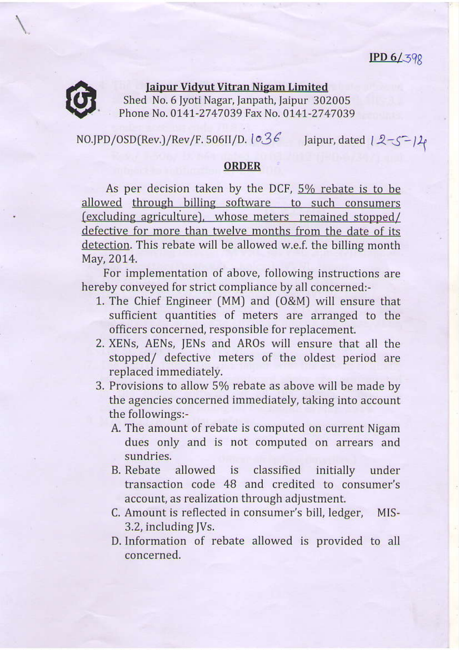## $IPD 6/398$



## Jaipur Vidyut Vitran Nigam Limited Shed No. 6 Jyoti Nagar, Janpath, Jaipur 302005 Phone No. 0141-2747039 Fax No. 0141-2747039

NO.JPD/OSD(Rev.)/Rev/F. 506II/D.  $1 \circ 36$  Jaipur, dated  $1 \cdot 2 - 5 - 11$ 

## ORDER

As per decision taken by the DCF,  $5\%$  rebate is to be allowed through billing software to such consumers  $\epsilon$  (excluding agriculture), whose meters remained stopped/ defective for more than twelve months from the date of its detection. This rebate will be allowed w.e.f. the billing month May, 2014.

For implementation of above, following instructions are hereby conveyed for strict compliance by all concerned:

- 1. The Chief Engineer [MM) and [O&M) will ensure that sufficient quantities of meters are arranged to the officers concerned, responsible for replacement.
- 2. XENS, AENS, JENS and AROS will ensure that all the stopped/ defective meters of the oldest period are replaced immediately.
- 3. Provisions to allow 5% rebate as above will be made by the agencies concerned immediately, taking into account the followings:-
	- A. The amount of rebate is computed on curent Nigam dues only and is not computed on arrears and sundries,
	- B. Rebate allowed is classified initially under transaction code 48 and credited to consumer's account, as realization through adjustment.
	- C. Amount is reflected in consumer's bill, ledger, MIS-3.2, including JVs.
	- D. Information of rebate allowed is provided to all concemed.